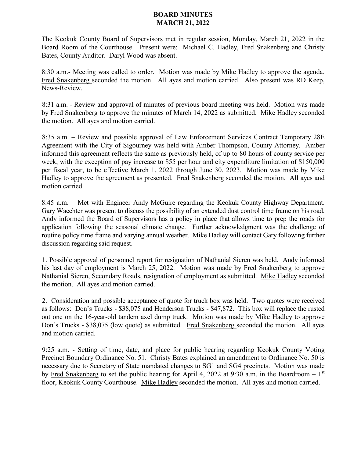## **BOARD MINUTES MARCH 21, 2022**

The Keokuk County Board of Supervisors met in regular session, Monday, March 21, 2022 in the Board Room of the Courthouse. Present were: Michael C. Hadley, Fred Snakenberg and Christy Bates, County Auditor. Daryl Wood was absent.

8:30 a.m.- Meeting was called to order. Motion was made by Mike Hadley to approve the agenda. Fred Snakenberg seconded the motion. All ayes and motion carried. Also present was RD Keep, News-Review.

8:31 a.m. - Review and approval of minutes of previous board meeting was held. Motion was made by Fred Snakenberg to approve the minutes of March 14, 2022 as submitted. Mike Hadley seconded the motion. All ayes and motion carried.

8:35 a.m. – Review and possible approval of Law Enforcement Services Contract Temporary 28E Agreement with the City of Sigourney was held with Amber Thompson, County Attorney. Amber informed this agreement reflects the same as previously held, of up to 80 hours of county service per week, with the exception of pay increase to \$55 per hour and city expenditure limitation of \$150,000 per fiscal year, to be effective March 1, 2022 through June 30, 2023. Motion was made by Mike Hadley to approve the agreement as presented. Fred Snakenberg seconded the motion. All ayes and motion carried.

8:45 a.m. – Met with Engineer Andy McGuire regarding the Keokuk County Highway Department. Gary Waechter was present to discuss the possibility of an extended dust control time frame on his road. Andy informed the Board of Supervisors has a policy in place that allows time to prep the roads for application following the seasonal climate change. Further acknowledgment was the challenge of routine policy time frame and varying annual weather. Mike Hadley will contact Gary following further discussion regarding said request.

1. Possible approval of personnel report for resignation of Nathanial Sieren was held. Andy informed his last day of employment is March 25, 2022. Motion was made by Fred Snakenberg to approve Nathanial Sieren, Secondary Roads, resignation of employment as submitted. Mike Hadley seconded the motion. All ayes and motion carried.

2. Consideration and possible acceptance of quote for truck box was held. Two quotes were received as follows: Don's Trucks - \$38,075 and Henderson Trucks - \$47,872. This box will replace the rusted out one on the 16-year-old tandem axel dump truck. Motion was made by Mike Hadley to approve Don's Trucks - \$38,075 (low quote) as submitted. Fred Snakenberg seconded the motion. All ayes and motion carried.

9:25 a.m. - Setting of time, date, and place for public hearing regarding Keokuk County Voting Precinct Boundary Ordinance No. 51. Christy Bates explained an amendment to Ordinance No. 50 is necessary due to Secretary of State mandated changes to SG1 and SG4 precincts. Motion was made by Fred Snakenberg to set the public hearing for April 4, 2022 at 9:30 a.m. in the Boardroom –  $1<sup>st</sup>$ floor, Keokuk County Courthouse. Mike Hadley seconded the motion. All ayes and motion carried.